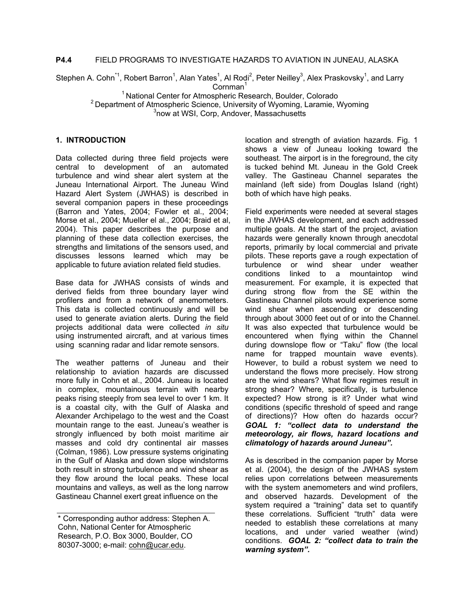### **P4.4** FIELD PROGRAMS TO INVESTIGATE HAZARDS TO AVIATION IN JUNEAU, ALASKA

Stephen A. Cohn<sup>\*1</sup>, Robert Barron<sup>1</sup>, Alan Yates<sup>1</sup>, Al Rodi<sup>2</sup>, Peter Neilley<sup>3</sup>, Alex Praskovsky<sup>1</sup>, and Larry  $Cornman<sup>1</sup>$ 

<sup>1</sup> National Center for Atmospheric Research, Boulder, Colorado <sup>2</sup> Department of Atmospheric Science, University of Wyoming, Laramie, Wyoming <sup>3</sup>now at WSI, Corp, Andover, Massachusetts

## **1. INTRODUCTION**

Data collected during three field projects were central to development of an automated turbulence and wind shear alert system at the Juneau International Airport. The Juneau Wind Hazard Alert System (JWHAS) is described in several companion papers in these proceedings (Barron and Yates, 2004; Fowler et al., 2004; Morse et al., 2004; Mueller el al., 2004; Braid et al, 2004). This paper describes the purpose and planning of these data collection exercises, the strengths and limitations of the sensors used, and discusses lessons learned which may be applicable to future aviation related field studies.

Base data for JWHAS consists of winds and derived fields from three boundary layer wind profilers and from a network of anemometers. This data is collected continuously and will be used to generate aviation alerts. During the field projects additional data were collected *in situ* using instrumented aircraft, and at various times using scanning radar and lidar remote sensors.

The weather patterns of Juneau and their relationship to aviation hazards are discussed more fully in Cohn et al., 2004. Juneau is located in complex, mountainous terrain with nearby peaks rising steeply from sea level to over 1 km. It is a coastal city, with the Gulf of Alaska and Alexander Archipelago to the west and the Coast mountain range to the east. Juneau's weather is strongly influenced by both moist maritime air masses and cold dry continental air masses (Colman, 1986). Low pressure systems originating in the Gulf of Alaska and down slope windstorms both result in strong turbulence and wind shear as they flow around the local peaks. These local mountains and valleys, as well as the long narrow Gastineau Channel exert great influence on the

location and strength of aviation hazards. Fig. 1 shows a view of Juneau looking toward the southeast. The airport is in the foreground, the city is tucked behind Mt. Juneau in the Gold Creek valley. The Gastineau Channel separates the mainland (left side) from Douglas Island (right) both of which have high peaks.

Field experiments were needed at several stages in the JWHAS development, and each addressed multiple goals. At the start of the project, aviation hazards were generally known through anecdotal reports, primarily by local commercial and private pilots. These reports gave a rough expectation of turbulence or wind shear under weather conditions linked to a mountaintop wind measurement. For example, it is expected that during strong flow from the SE within the Gastineau Channel pilots would experience some wind shear when ascending or descending through about 3000 feet out of or into the Channel. It was also expected that turbulence would be encountered when flying within the Channel during downslope flow or "Taku" flow (the local name for trapped mountain wave events). However, to build a robust system we need to understand the flows more precisely. How strong are the wind shears? What flow regimes result in strong shear? Where, specifically, is turbulence expected? How strong is it? Under what wind conditions (specific threshold of speed and range of directions)? How often do hazards occur? *GOAL 1: "collect data to understand the meteorology, air flows, hazard locations and climatology of hazards around Juneau".*

As is described in the companion paper by Morse et al. (2004), the design of the JWHAS system relies upon correlations between measurements with the system anemometers and wind profilers, and observed hazards. Development of the system required a "training" data set to quantify these correlations. Sufficient "truth" data were needed to establish these correlations at many locations, and under varied weather (wind) conditions. *GOAL 2: "collect data to train the warning system".*

<sup>\*</sup> Corresponding author address: Stephen A. Cohn, National Center for Atmospheric Research, P.O. Box 3000, Boulder, CO 80307-3000; e-mail: cohn@ucar.edu.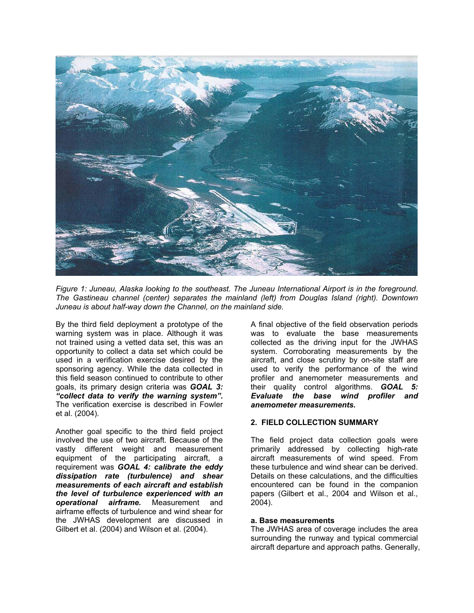

*Figure 1: Juneau, Alaska looking to the southeast. The Juneau International Airport is in the foreground. The Gastineau channel (center) separates the mainland (left) from Douglas Island (right). Downtown Juneau is about half-way down the Channel, on the mainland side.* 

By the third field deployment a prototype of the warning system was in place. Although it was not trained using a vetted data set, this was an opportunity to collect a data set which could be used in a verification exercise desired by the sponsoring agency. While the data collected in this field season continued to contribute to other goals, its primary design criteria was *GOAL 3: "collect data to verify the warning system".* The verification exercise is described in Fowler et al. (2004).

Another goal specific to the third field project involved the use of two aircraft. Because of the vastly different weight and measurement equipment of the participating aircraft, a requirement was *GOAL 4: calibrate the eddy dissipation rate (turbulence) and shear measurements of each aircraft and establish the level of turbulence experienced with an operational airframe.* Measurement and airframe effects of turbulence and wind shear for the JWHAS development are discussed in Gilbert et al. (2004) and Wilson et al. (2004).

A final objective of the field observation periods was to evaluate the base measurements collected as the driving input for the JWHAS system. Corroborating measurements by the aircraft, and close scrutiny by on-site staff are used to verify the performance of the wind profiler and anemometer measurements and their quality control algorithms. *GOAL 5: Evaluate the base wind profiler and anemometer measurements.*

#### **2. FIELD COLLECTION SUMMARY**

The field project data collection goals were primarily addressed by collecting high-rate aircraft measurements of wind speed. From these turbulence and wind shear can be derived. Details on these calculations, and the difficulties encountered can be found in the companion papers (Gilbert et al., 2004 and Wilson et al., 2004).

#### **a. Base measurements**

The JWHAS area of coverage includes the area surrounding the runway and typical commercial aircraft departure and approach paths. Generally,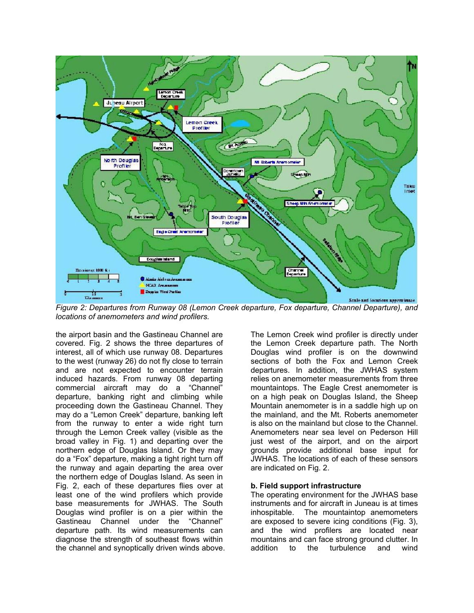

*Figure 2: Departures from Runway 08 (Lemon Creek departure, Fox departure, Channel Departure), and locations of anemometers and wind profilers.* 

the airport basin and the Gastineau Channel are covered. Fig. 2 shows the three departures of interest, all of which use runway 08. Departures to the west (runway 26) do not fly close to terrain and are not expected to encounter terrain induced hazards. From runway 08 departing commercial aircraft may do a "Channel" departure, banking right and climbing while proceeding down the Gastineau Channel. They may do a "Lemon Creek" departure, banking left from the runway to enter a wide right turn through the Lemon Creek valley (visible as the broad valley in Fig. 1) and departing over the northern edge of Douglas Island. Or they may do a "Fox" departure, making a tight right turn off the runway and again departing the area over the northern edge of Douglas Island. As seen in Fig. 2, each of these departures flies over at least one of the wind profilers which provide base measurements for JWHAS. The South Douglas wind profiler is on a pier within the Gastineau Channel under the "Channel" departure path. Its wind measurements can diagnose the strength of southeast flows within the channel and synoptically driven winds above.

The Lemon Creek wind profiler is directly under the Lemon Creek departure path. The North Douglas wind profiler is on the downwind sections of both the Fox and Lemon Creek departures. In addition, the JWHAS system relies on anemometer measurements from three mountaintops. The Eagle Crest anemometer is on a high peak on Douglas Island, the Sheep Mountain anemometer is in a saddle high up on the mainland, and the Mt. Roberts anemometer is also on the mainland but close to the Channel. Anemometers near sea level on Pederson Hill just west of the airport, and on the airport grounds provide additional base input for JWHAS. The locations of each of these sensors are indicated on Fig. 2.

#### **b. Field support infrastructure**

The operating environment for the JWHAS base instruments and for aircraft in Juneau is at times inhospitable. The mountaintop anemometers are exposed to severe icing conditions (Fig. 3), and the wind profilers are located near mountains and can face strong ground clutter. In addition to the turbulence and wind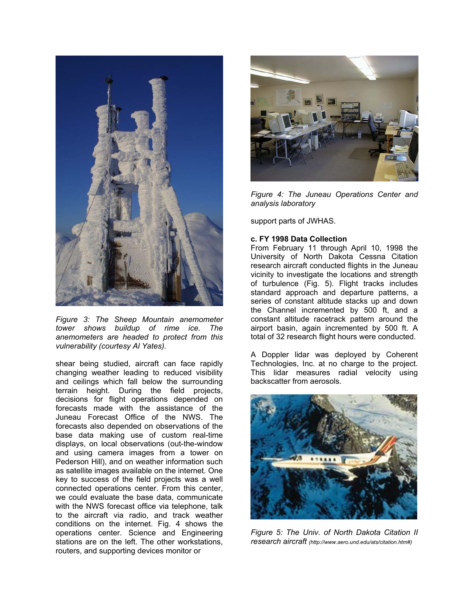

*Figure 3: The Sheep Mountain anemometer tower shows buildup of rime ice. The anemometers are headed to protect from this vulnerability (courtesy Al Yates).*

shear being studied, aircraft can face rapidly changing weather leading to reduced visibility and ceilings which fall below the surrounding terrain height. During the field projects, decisions for flight operations depended on forecasts made with the assistance of the Juneau Forecast Office of the NWS. The forecasts also depended on observations of the base data making use of custom real-time displays, on local observations (out-the-window and using camera images from a tower on Pederson Hill), and on weather information such as satellite images available on the internet. One key to success of the field projects was a well connected operations center. From this center, we could evaluate the base data, communicate with the NWS forecast office via telephone, talk to the aircraft via radio, and track weather conditions on the internet. Fig. 4 shows the operations center. Science and Engineering stations are on the left. The other workstations, routers, and supporting devices monitor or



*Figure 4: The Juneau Operations Center and analysis laboratory*

support parts of JWHAS.

### **c. FY 1998 Data Collection**

From February 11 through April 10, 1998 the University of North Dakota Cessna Citation research aircraft conducted flights in the Juneau vicinity to investigate the locations and strength of turbulence (Fig. 5). Flight tracks includes standard approach and departure patterns, a series of constant altitude stacks up and down the Channel incremented by 500 ft, and a constant altitude racetrack pattern around the airport basin, again incremented by 500 ft. A total of 32 research flight hours were conducted.

A Doppler lidar was deployed by Coherent Technologies, Inc. at no charge to the project. This lidar measures radial velocity using backscatter from aerosols.



*Figure 5: The Univ. of North Dakota Citation II research aircraft (http://www.aero.und.edu/ats/citation.htm#)*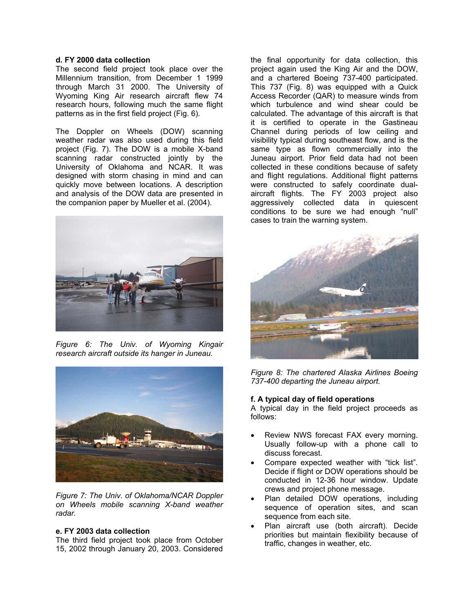### **d. FY 2000 data collection**

The second field project took place over the Millennium transition, from December 1 1999 through March 31 2000. The University of Wyoming King Air research aircraft flew 74 research hours, following much the same flight patterns as in the first field project (Fig. 6).

The Doppler on Wheels (DOW) scanning weather radar was also used during this field project (Fig. 7). The DOW is a mobile X-band scanning radar constructed jointly by the University of Oklahoma and NCAR. It was designed with storm chasing in mind and can quickly move between locations. A description and analysis of the DOW data are presented in the companion paper by Mueller et al. (2004).



*Figure 6: The Univ. of Wyoming Kingair research aircraft outside its hanger in Juneau.*



*Figure 7: The Univ. of Oklahoma/NCAR Doppler on Wheels mobile scanning X-band weather radar.*

#### **e. FY 2003 data collection**

The third field project took place from October 15, 2002 through January 20, 2003. Considered

the final opportunity for data collection, this project again used the King Air and the DOW, and a chartered Boeing 737-400 participated. This 737 (Fig. 8) was equipped with a Quick Access Recorder (QAR) to measure winds from which turbulence and wind shear could be calculated. The advantage of this aircraft is that it is certified to operate in the Gastineau Channel during periods of low ceiling and visibility typical during southeast flow, and is the same type as flown commercially into the Juneau airport. Prior field data had not been collected in these conditions because of safety and flight regulations. Additional flight patterns were constructed to safely coordinate dualaircraft flights. The FY 2003 project also aggressively collected data in quiescent conditions to be sure we had enough "null" cases to train the warning system.



*Figure 8: The chartered Alaska Airlines Boeing 737-400 departing the Juneau airport.*

#### **f. A typical day of field operations**

A typical day in the field project proceeds as follows:

- Review NWS forecast FAX every morning. Usually follow-up with a phone call to discuss forecast.
- Compare expected weather with "tick list". Decide if flight or DOW operations should be conducted in 12-36 hour window. Update crews and project phone message.
- Plan detailed DOW operations, including sequence of operation sites, and scan sequence from each site.
- Plan aircraft use (both aircraft). Decide priorities but maintain flexibility because of traffic, changes in weather, etc.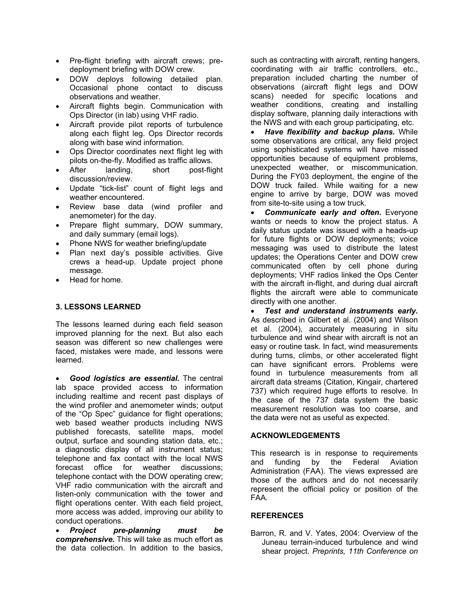- Pre-flight briefing with aircraft crews; predeployment briefing with DOW crew.
- DOW deploys following detailed plan. Occasional phone contact to discuss observations and weather.
- Aircraft flights begin. Communication with Ops Director (in lab) using VHF radio.
- Aircraft provide pilot reports of turbulence along each flight leg. Ops Director records along with base wind information.
- Ops Director coordinates next flight leg with pilots on-the-fly. Modified as traffic allows.
- After landing, short post-flight discussion/review.
- Update "tick-list" count of flight legs and weather encountered.
- Review base data (wind profiler and anemometer) for the day.
- Prepare flight summary, DOW summary, and daily summary (email logs).
- Phone NWS for weather briefing/update
- Plan next day's possible activities. Give crews a head-up. Update project phone message.
- Head for home.

# **3. LESSONS LEARNED**

The lessons learned during each field season improved planning for the next. But also each season was different so new challenges were faced, mistakes were made, and lessons were learned.

• *Good logistics are essential.* The central lab space provided access to information including realtime and recent past displays of the wind profiler and anemometer winds; output of the "Op Spec" guidance for flight operations; web based weather products including NWS published forecasts, satellite maps, model output, surface and sounding station data, etc.; a diagnostic display of all instrument status; telephone and fax contact with the local NWS forecast office for weather discussions; telephone contact with the DOW operating crew; VHF radio communication with the aircraft and listen-only communication with the tower and flight operations center. With each field project, more access was added, improving our ability to conduct operations.

• *Project pre-planning must be comprehensive.* This will take as much effort as the data collection. In addition to the basics, such as contracting with aircraft, renting hangers, coordinating with air traffic controllers, etc., preparation included charting the number of observations (aircraft flight legs and DOW scans) needed for specific locations and weather conditions, creating and installing display software, planning daily interactions with the NWS and with each group participating, etc.

• *Have flexibility and backup plans.* While some observations are critical, any field project using sophisticated systems will have missed opportunities because of equipment problems, unexpected weather, or miscommunication. During the FY03 deployment, the engine of the DOW truck failed. While waiting for a new engine to arrive by barge, DOW was moved from site-to-site using a tow truck.

• *Communicate early and often.* Everyone wants or needs to know the project status. A daily status update was issued with a heads-up for future flights or DOW deployments; voice messaging was used to distribute the latest updates; the Operations Center and DOW crew communicated often by cell phone during deployments; VHF radios linked the Ops Center with the aircraft in-flight, and during dual aircraft flights the aircraft were able to communicate directly with one another.

• *Test and understand instruments early.* As described in Gilbert et al. (2004) and Wilson et al. (2004), accurately measuring in situ turbulence and wind shear with aircraft is not an easy or routine task. In fact, wind measurements during turns, climbs, or other accelerated flight can have significant errors. Problems were found in turbulence measurements from all aircraft data streams (Citation, Kingair, chartered 737) which required huge efforts to resolve. In the case of the 737 data system the basic measurement resolution was too coarse, and the data were not as useful as expected.

#### **ACKNOWLEDGEMENTS**

This research is in response to requirements and funding by the Federal Aviation Administration (FAA). The views expressed are those of the authors and do not necessarily represent the official policy or position of the FAA.

# **REFERENCES**

Barron, R. and V. Yates, 2004: Overview of the Juneau terrain-induced turbulence and wind shear project. *Preprints, 11th Conference on*